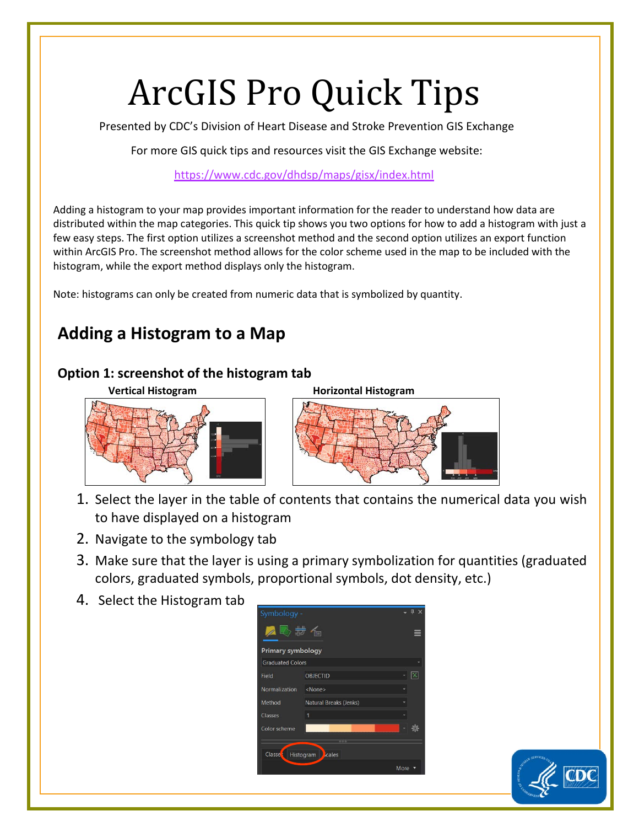## ArcGIS Pro Quick Tips

Presented by CDC's Division of Heart Disease and Stroke Prevention GIS Exchange

For more GIS quick tips and resources visit the GIS Exchange website:

<https://www.cdc.gov/dhdsp/maps/gisx/index.html>

Adding a histogram to your map provides important information for the reader to understand how data are distributed within the map categories. This quick tip shows you two options for how to add a histogram with just a few easy steps. The first option utilizes a screenshot method and the second option utilizes an export function within ArcGIS Pro. The screenshot method allows for the color scheme used in the map to be included with the histogram, while the export method displays only the histogram.

Note: histograms can only be created from numeric data that is symbolized by quantity.

## **Adding a Histogram to a Map**

## **Option 1: screenshot of the histogram tab**





- 1. Select the layer in the table of contents that contains the numerical data you wish to have displayed on a histogram
- 2. Navigate to the symbology tab
- 3. Make sure that the layer is using a primary symbolization for quantities (graduated colors, graduated symbols, proportional symbols, dot density, etc.)
- 4. Select the Histogram tab

| Symbology -             |                        |           |
|-------------------------|------------------------|-----------|
| Primary symbology       |                        |           |
|                         |                        |           |
| <b>Graduated Colors</b> |                        |           |
| Field                   | <b>OBJECTID</b>        | $\propto$ |
| Normalization           | <none></none>          |           |
| Method                  | Natural Breaks (Jenks) |           |
| Classes                 | 1                      |           |
| Color scheme            |                        |           |
|                         |                        |           |
| Classe                  | Histogram<br>cales     |           |
|                         |                        | More      |

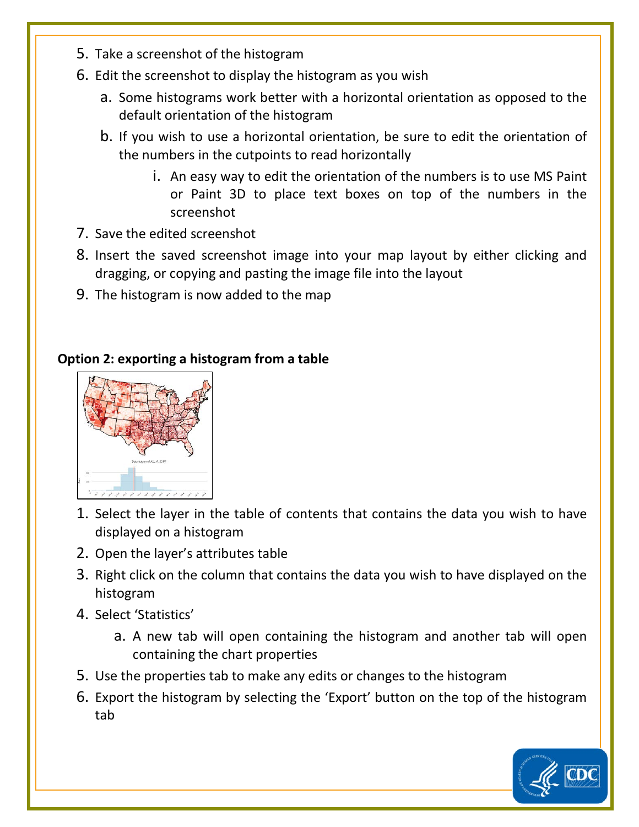- 5. Take a screenshot of the histogram
- 6. Edit the screenshot to display the histogram as you wish
	- a. Some histograms work better with a horizontal orientation as opposed to the default orientation of the histogram
	- b. If you wish to use a horizontal orientation, be sure to edit the orientation of the numbers in the cutpoints to read horizontally
		- i. An easy way to edit the orientation of the numbers is to use MS Paint or Paint 3D to place text boxes on top of the numbers in the screenshot
- 7. Save the edited screenshot
- 8. Insert the saved screenshot image into your map layout by either clicking and dragging, or copying and pasting the image file into the layout
- 9. The histogram is now added to the map

## **Option 2: exporting a histogram from a table**



- 1. Select the layer in the table of contents that contains the data you wish to have displayed on a histogram
- 2. Open the layer's attributes table
- 3. Right click on the column that contains the data you wish to have displayed on the histogram
- 4. Select 'Statistics'
	- a. A new tab will open containing the histogram and another tab will open containing the chart properties
- 5. Use the properties tab to make any edits or changes to the histogram
- 6. Export the histogram by selecting the 'Export' button on the top of the histogram tab